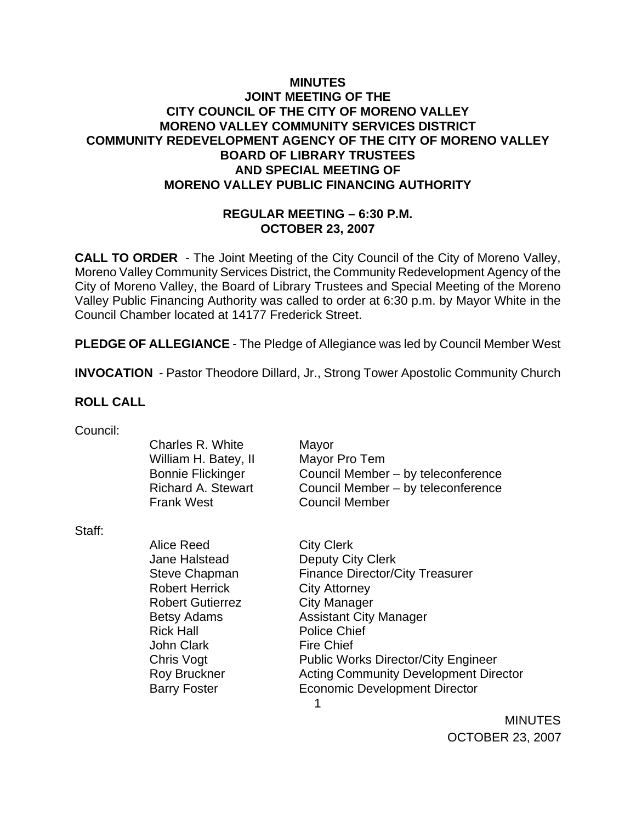## **MINUTES JOINT MEETING OF THE CITY COUNCIL OF THE CITY OF MORENO VALLEY MORENO VALLEY COMMUNITY SERVICES DISTRICT COMMUNITY REDEVELOPMENT AGENCY OF THE CITY OF MORENO VALLEY BOARD OF LIBRARY TRUSTEES AND SPECIAL MEETING OF MORENO VALLEY PUBLIC FINANCING AUTHORITY**

### **REGULAR MEETING – 6:30 P.M. OCTOBER 23, 2007**

**CALL TO ORDER** - The Joint Meeting of the City Council of the City of Moreno Valley, Moreno Valley Community Services District, the Community Redevelopment Agency of the City of Moreno Valley, the Board of Library Trustees and Special Meeting of the Moreno Valley Public Financing Authority was called to order at 6:30 p.m. by Mayor White in the Council Chamber located at 14177 Frederick Street.

**PLEDGE OF ALLEGIANCE** - The Pledge of Allegiance was led by Council Member West

**INVOCATION** - Pastor Theodore Dillard, Jr., Strong Tower Apostolic Community Church

#### **ROLL CALL**

| Council: |                           |                                              |
|----------|---------------------------|----------------------------------------------|
|          | Charles R. White          | Mayor                                        |
|          | William H. Batey, II      | Mayor Pro Tem                                |
|          | <b>Bonnie Flickinger</b>  | Council Member - by teleconference           |
|          | <b>Richard A. Stewart</b> | Council Member - by teleconference           |
|          | <b>Frank West</b>         | <b>Council Member</b>                        |
| Staff:   |                           |                                              |
|          | Alice Reed                | <b>City Clerk</b>                            |
|          | Jane Halstead             | <b>Deputy City Clerk</b>                     |
|          | <b>Steve Chapman</b>      | <b>Finance Director/City Treasurer</b>       |
|          | <b>Robert Herrick</b>     | <b>City Attorney</b>                         |
|          | <b>Robert Gutierrez</b>   | <b>City Manager</b>                          |
|          | <b>Betsy Adams</b>        | <b>Assistant City Manager</b>                |
|          | <b>Rick Hall</b>          | <b>Police Chief</b>                          |
|          | <b>John Clark</b>         | <b>Fire Chief</b>                            |
|          | Chris Vogt                | <b>Public Works Director/City Engineer</b>   |
|          | <b>Roy Bruckner</b>       | <b>Acting Community Development Director</b> |
|          | <b>Barry Foster</b>       | <b>Economic Development Director</b>         |
|          |                           | 1                                            |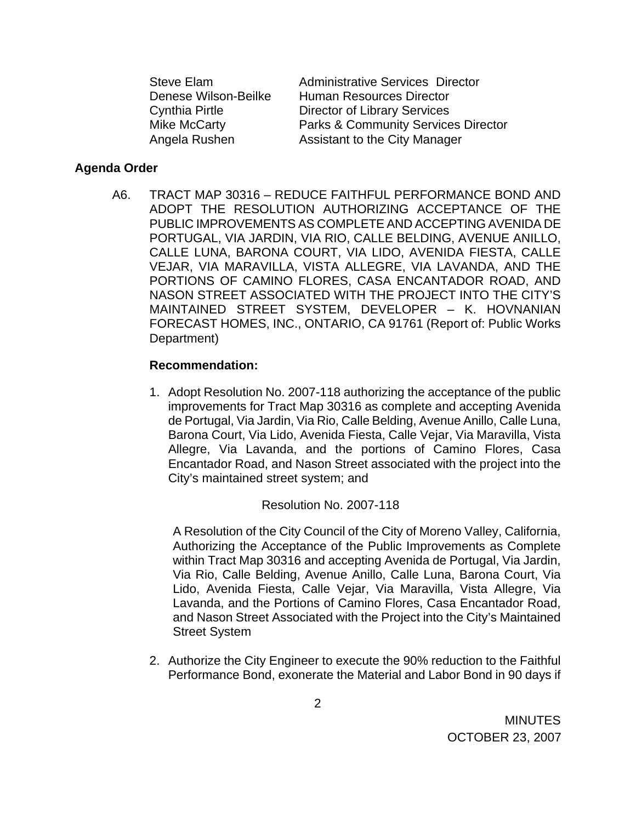| <b>Steve Elam</b>     |  |  |  |
|-----------------------|--|--|--|
| Denese Wilson-Beilke  |  |  |  |
| <b>Cynthia Pirtle</b> |  |  |  |
| <b>Mike McCarty</b>   |  |  |  |
| Angela Rushen         |  |  |  |

Administrative Services Director Human Resources Director Director of Library Services Parks & Community Services Director Assistant to the City Manager

#### **Agenda Order**

 A6. TRACT MAP 30316 – REDUCE FAITHFUL PERFORMANCE BOND AND ADOPT THE RESOLUTION AUTHORIZING ACCEPTANCE OF THE PUBLIC IMPROVEMENTS AS COMPLETE AND ACCEPTING AVENIDA DE PORTUGAL, VIA JARDIN, VIA RIO, CALLE BELDING, AVENUE ANILLO, CALLE LUNA, BARONA COURT, VIA LIDO, AVENIDA FIESTA, CALLE VEJAR, VIA MARAVILLA, VISTA ALLEGRE, VIA LAVANDA, AND THE PORTIONS OF CAMINO FLORES, CASA ENCANTADOR ROAD, AND NASON STREET ASSOCIATED WITH THE PROJECT INTO THE CITY'S MAINTAINED STREET SYSTEM, DEVELOPER – K. HOVNANIAN FORECAST HOMES, INC., ONTARIO, CA 91761 (Report of: Public Works Department)

#### **Recommendation:**

1. Adopt Resolution No. 2007-118 authorizing the acceptance of the public improvements for Tract Map 30316 as complete and accepting Avenida de Portugal, Via Jardin, Via Rio, Calle Belding, Avenue Anillo, Calle Luna, Barona Court, Via Lido, Avenida Fiesta, Calle Vejar, Via Maravilla, Vista Allegre, Via Lavanda, and the portions of Camino Flores, Casa Encantador Road, and Nason Street associated with the project into the City's maintained street system; and

### Resolution No. 2007-118

A Resolution of the City Council of the City of Moreno Valley, California, Authorizing the Acceptance of the Public Improvements as Complete within Tract Map 30316 and accepting Avenida de Portugal, Via Jardin, Via Rio, Calle Belding, Avenue Anillo, Calle Luna, Barona Court, Via Lido, Avenida Fiesta, Calle Vejar, Via Maravilla, Vista Allegre, Via Lavanda, and the Portions of Camino Flores, Casa Encantador Road, and Nason Street Associated with the Project into the City's Maintained Street System

2. Authorize the City Engineer to execute the 90% reduction to the Faithful Performance Bond, exonerate the Material and Labor Bond in 90 days if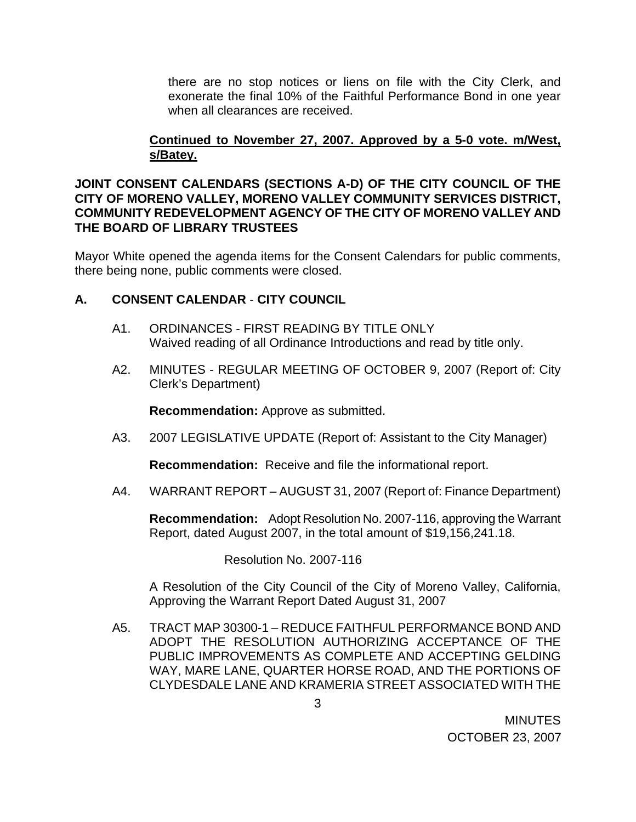there are no stop notices or liens on file with the City Clerk, and exonerate the final 10% of the Faithful Performance Bond in one year when all clearances are received.

## **Continued to November 27, 2007. Approved by a 5-0 vote. m/West, s/Batey.**

### **JOINT CONSENT CALENDARS (SECTIONS A-D) OF THE CITY COUNCIL OF THE CITY OF MORENO VALLEY, MORENO VALLEY COMMUNITY SERVICES DISTRICT, COMMUNITY REDEVELOPMENT AGENCY OF THE CITY OF MORENO VALLEY AND THE BOARD OF LIBRARY TRUSTEES**

Mayor White opened the agenda items for the Consent Calendars for public comments, there being none, public comments were closed.

## **A. CONSENT CALENDAR** - **CITY COUNCIL**

- A1. ORDINANCES FIRST READING BY TITLE ONLY Waived reading of all Ordinance Introductions and read by title only.
- A2. MINUTES REGULAR MEETING OF OCTOBER 9, 2007 (Report of: City Clerk's Department)

**Recommendation:** Approve as submitted.

A3. 2007 LEGISLATIVE UPDATE (Report of: Assistant to the City Manager)

**Recommendation:** Receive and file the informational report.

A4. WARRANT REPORT – AUGUST 31, 2007 (Report of: Finance Department)

**Recommendation:** Adopt Resolution No. 2007-116, approving the Warrant Report, dated August 2007, in the total amount of \$19,156,241.18.

Resolution No. 2007-116

 A Resolution of the City Council of the City of Moreno Valley, California, Approving the Warrant Report Dated August 31, 2007

A5. TRACT MAP 30300-1 – REDUCE FAITHFUL PERFORMANCE BOND AND ADOPT THE RESOLUTION AUTHORIZING ACCEPTANCE OF THE PUBLIC IMPROVEMENTS AS COMPLETE AND ACCEPTING GELDING WAY, MARE LANE, QUARTER HORSE ROAD, AND THE PORTIONS OF CLYDESDALE LANE AND KRAMERIA STREET ASSOCIATED WITH THE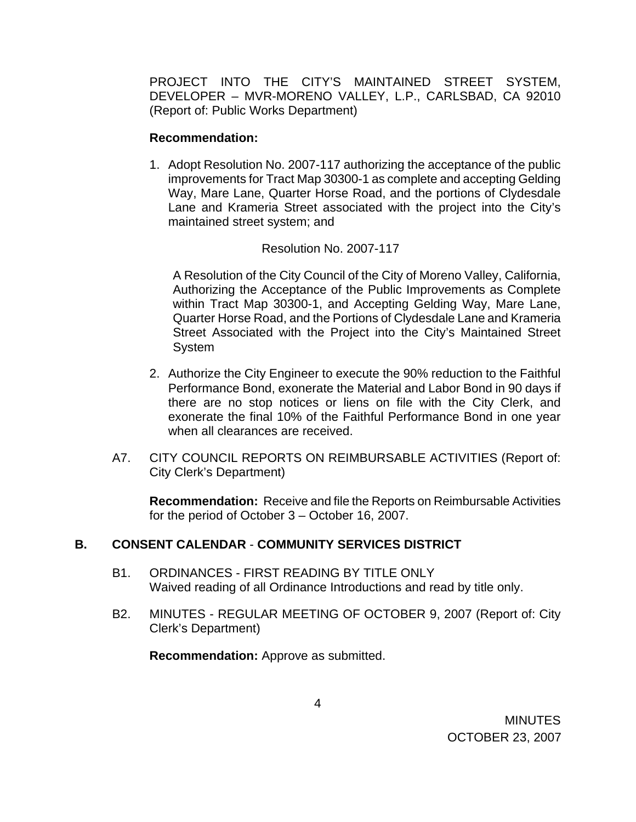PROJECT INTO THE CITY'S MAINTAINED STREET SYSTEM, DEVELOPER – MVR-MORENO VALLEY, L.P., CARLSBAD, CA 92010 (Report of: Public Works Department)

#### **Recommendation:**

1. Adopt Resolution No. 2007-117 authorizing the acceptance of the public improvements for Tract Map 30300-1 as complete and accepting Gelding Way, Mare Lane, Quarter Horse Road, and the portions of Clydesdale Lane and Krameria Street associated with the project into the City's maintained street system; and

### Resolution No. 2007-117

 A Resolution of the City Council of the City of Moreno Valley, California, Authorizing the Acceptance of the Public Improvements as Complete within Tract Map 30300-1, and Accepting Gelding Way, Mare Lane, Quarter Horse Road, and the Portions of Clydesdale Lane and Krameria Street Associated with the Project into the City's Maintained Street System

- 2. Authorize the City Engineer to execute the 90% reduction to the Faithful Performance Bond, exonerate the Material and Labor Bond in 90 days if there are no stop notices or liens on file with the City Clerk, and exonerate the final 10% of the Faithful Performance Bond in one year when all clearances are received.
- A7. CITY COUNCIL REPORTS ON REIMBURSABLE ACTIVITIES (Report of: City Clerk's Department)

**Recommendation:** Receive and file the Reports on Reimbursable Activities for the period of October 3 – October 16, 2007.

## **B. CONSENT CALENDAR** - **COMMUNITY SERVICES DISTRICT**

- B1. ORDINANCES FIRST READING BY TITLE ONLY Waived reading of all Ordinance Introductions and read by title only.
- B2. MINUTES REGULAR MEETING OF OCTOBER 9, 2007 (Report of: City Clerk's Department)

**Recommendation:** Approve as submitted.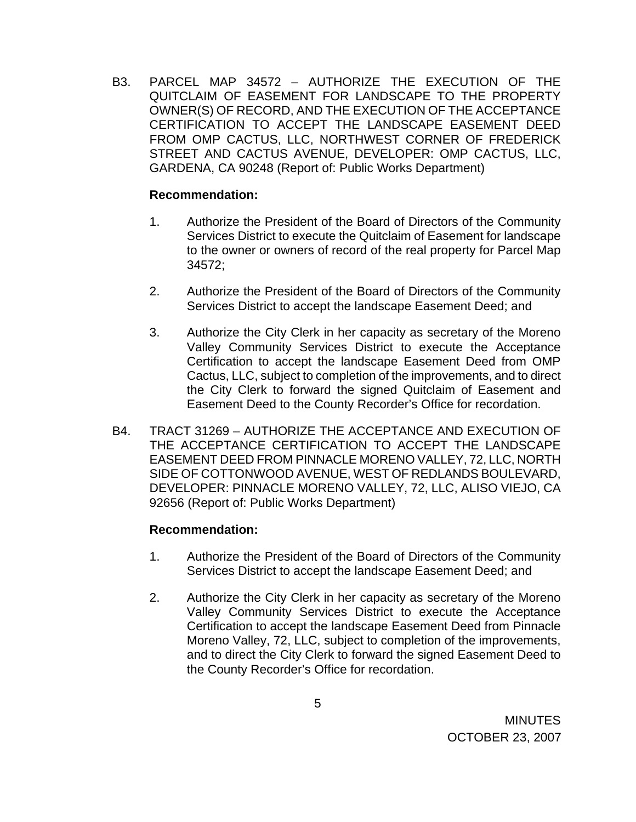B3. PARCEL MAP 34572 – AUTHORIZE THE EXECUTION OF THE QUITCLAIM OF EASEMENT FOR LANDSCAPE TO THE PROPERTY OWNER(S) OF RECORD, AND THE EXECUTION OF THE ACCEPTANCE CERTIFICATION TO ACCEPT THE LANDSCAPE EASEMENT DEED FROM OMP CACTUS, LLC, NORTHWEST CORNER OF FREDERICK STREET AND CACTUS AVENUE, DEVELOPER: OMP CACTUS, LLC, GARDENA, CA 90248 (Report of: Public Works Department)

### **Recommendation:**

- 1. Authorize the President of the Board of Directors of the Community Services District to execute the Quitclaim of Easement for landscape to the owner or owners of record of the real property for Parcel Map 34572;
- 2. Authorize the President of the Board of Directors of the Community Services District to accept the landscape Easement Deed; and
- 3. Authorize the City Clerk in her capacity as secretary of the Moreno Valley Community Services District to execute the Acceptance Certification to accept the landscape Easement Deed from OMP Cactus, LLC, subject to completion of the improvements, and to direct the City Clerk to forward the signed Quitclaim of Easement and Easement Deed to the County Recorder's Office for recordation.
- B4. TRACT 31269 AUTHORIZE THE ACCEPTANCE AND EXECUTION OF THE ACCEPTANCE CERTIFICATION TO ACCEPT THE LANDSCAPE EASEMENT DEED FROM PINNACLE MORENO VALLEY, 72, LLC, NORTH SIDE OF COTTONWOOD AVENUE, WEST OF REDLANDS BOULEVARD, DEVELOPER: PINNACLE MORENO VALLEY, 72, LLC, ALISO VIEJO, CA 92656 (Report of: Public Works Department)

## **Recommendation:**

- 1. Authorize the President of the Board of Directors of the Community Services District to accept the landscape Easement Deed; and
- 2. Authorize the City Clerk in her capacity as secretary of the Moreno Valley Community Services District to execute the Acceptance Certification to accept the landscape Easement Deed from Pinnacle Moreno Valley, 72, LLC, subject to completion of the improvements, and to direct the City Clerk to forward the signed Easement Deed to the County Recorder's Office for recordation.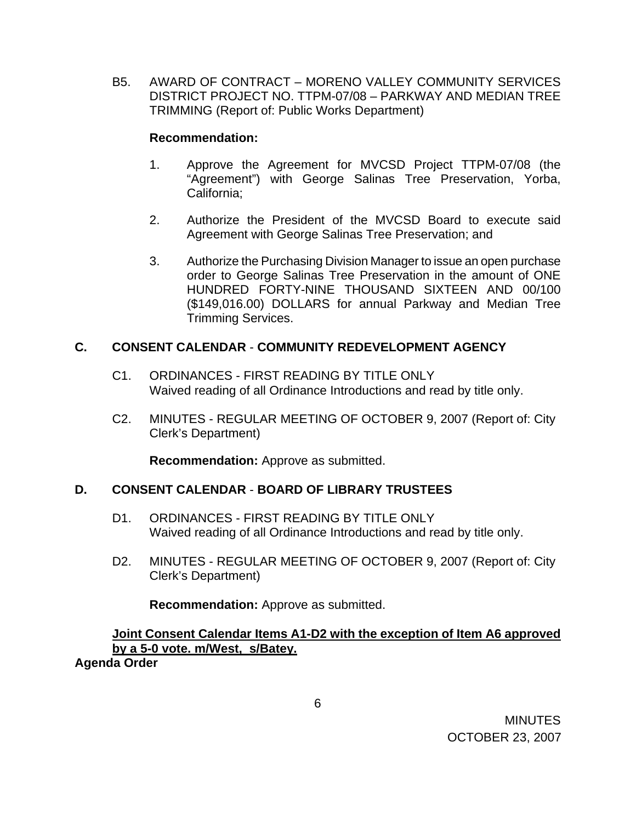B5. AWARD OF CONTRACT – MORENO VALLEY COMMUNITY SERVICES DISTRICT PROJECT NO. TTPM-07/08 – PARKWAY AND MEDIAN TREE TRIMMING (Report of: Public Works Department)

### **Recommendation:**

- 1. Approve the Agreement for MVCSD Project TTPM-07/08 (the "Agreement") with George Salinas Tree Preservation, Yorba, California;
- 2. Authorize the President of the MVCSD Board to execute said Agreement with George Salinas Tree Preservation; and
- 3. Authorize the Purchasing Division Manager to issue an open purchase order to George Salinas Tree Preservation in the amount of ONE HUNDRED FORTY-NINE THOUSAND SIXTEEN AND 00/100 (\$149,016.00) DOLLARS for annual Parkway and Median Tree Trimming Services.

# **C. CONSENT CALENDAR** - **COMMUNITY REDEVELOPMENT AGENCY**

- C1. ORDINANCES FIRST READING BY TITLE ONLY Waived reading of all Ordinance Introductions and read by title only.
- C2. MINUTES REGULAR MEETING OF OCTOBER 9, 2007 (Report of: City Clerk's Department)

**Recommendation:** Approve as submitted.

## **D. CONSENT CALENDAR** - **BOARD OF LIBRARY TRUSTEES**

- D1. ORDINANCES FIRST READING BY TITLE ONLY Waived reading of all Ordinance Introductions and read by title only.
- D2. MINUTES REGULAR MEETING OF OCTOBER 9, 2007 (Report of: City Clerk's Department)

**Recommendation:** Approve as submitted.

**Joint Consent Calendar Items A1-D2 with the exception of Item A6 approved by a 5-0 vote. m/West, s/Batey.**

**Agenda Order**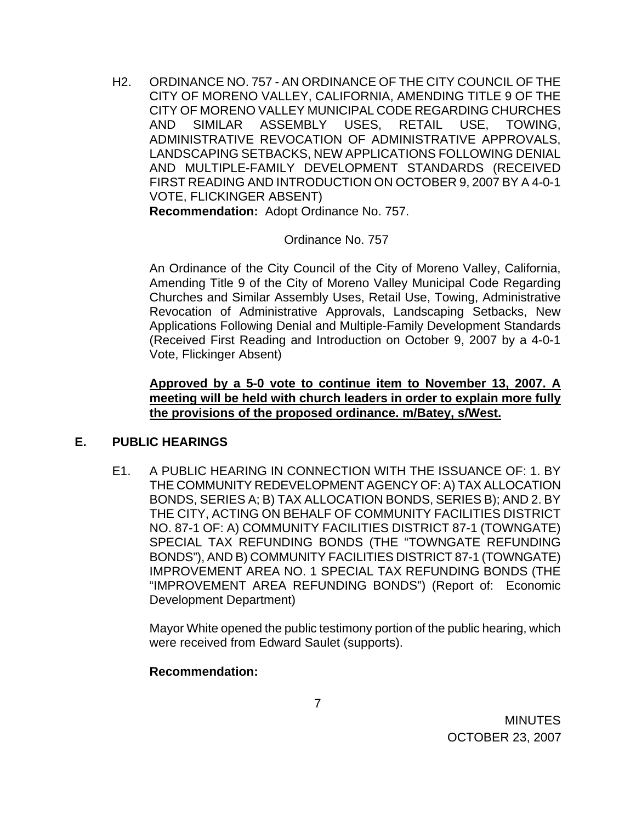H2. ORDINANCE NO. 757 - AN ORDINANCE OF THE CITY COUNCIL OF THE CITY OF MORENO VALLEY, CALIFORNIA, AMENDING TITLE 9 OF THE CITY OF MORENO VALLEY MUNICIPAL CODE REGARDING CHURCHES AND SIMILAR ASSEMBLY USES, RETAIL USE, TOWING, ADMINISTRATIVE REVOCATION OF ADMINISTRATIVE APPROVALS, LANDSCAPING SETBACKS, NEW APPLICATIONS FOLLOWING DENIAL AND MULTIPLE-FAMILY DEVELOPMENT STANDARDS (RECEIVED FIRST READING AND INTRODUCTION ON OCTOBER 9, 2007 BY A 4-0-1 VOTE, FLICKINGER ABSENT)

**Recommendation:** Adopt Ordinance No. 757.

### Ordinance No. 757

An Ordinance of the City Council of the City of Moreno Valley, California, Amending Title 9 of the City of Moreno Valley Municipal Code Regarding Churches and Similar Assembly Uses, Retail Use, Towing, Administrative Revocation of Administrative Approvals, Landscaping Setbacks, New Applications Following Denial and Multiple-Family Development Standards (Received First Reading and Introduction on October 9, 2007 by a 4-0-1 Vote, Flickinger Absent)

## **Approved by a 5-0 vote to continue item to November 13, 2007. A meeting will be held with church leaders in order to explain more fully the provisions of the proposed ordinance. m/Batey, s/West.**

## **E. PUBLIC HEARINGS**

E1. A PUBLIC HEARING IN CONNECTION WITH THE ISSUANCE OF: 1. BY THE COMMUNITY REDEVELOPMENT AGENCY OF: A) TAX ALLOCATION BONDS, SERIES A; B) TAX ALLOCATION BONDS, SERIES B); AND 2. BY THE CITY, ACTING ON BEHALF OF COMMUNITY FACILITIES DISTRICT NO. 87-1 OF: A) COMMUNITY FACILITIES DISTRICT 87-1 (TOWNGATE) SPECIAL TAX REFUNDING BONDS (THE "TOWNGATE REFUNDING BONDS"), AND B) COMMUNITY FACILITIES DISTRICT 87-1 (TOWNGATE) IMPROVEMENT AREA NO. 1 SPECIAL TAX REFUNDING BONDS (THE "IMPROVEMENT AREA REFUNDING BONDS") (Report of: Economic Development Department)

 Mayor White opened the public testimony portion of the public hearing, which were received from Edward Saulet (supports).

## **Recommendation:**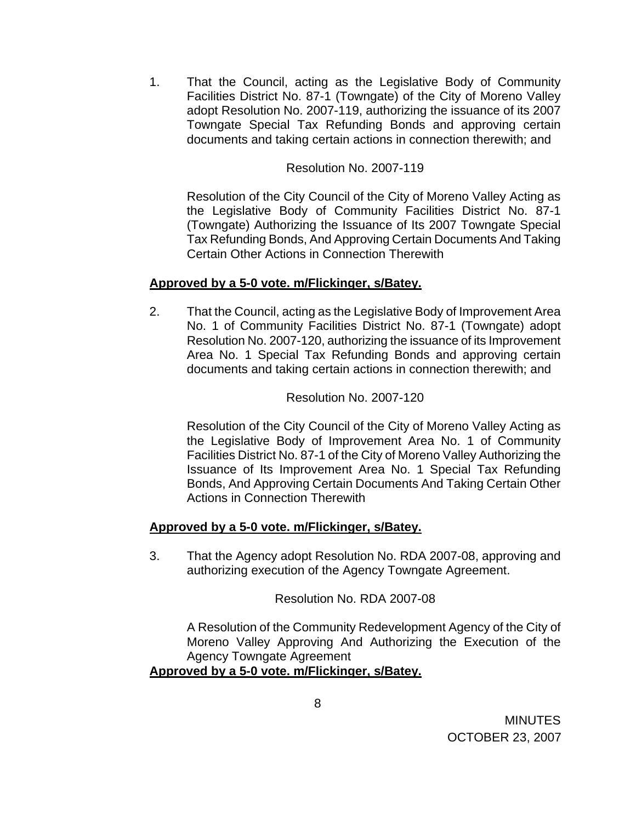1. That the Council, acting as the Legislative Body of Community Facilities District No. 87-1 (Towngate) of the City of Moreno Valley adopt Resolution No. 2007-119, authorizing the issuance of its 2007 Towngate Special Tax Refunding Bonds and approving certain documents and taking certain actions in connection therewith; and

## Resolution No. 2007-119

Resolution of the City Council of the City of Moreno Valley Acting as the Legislative Body of Community Facilities District No. 87-1 (Towngate) Authorizing the Issuance of Its 2007 Towngate Special Tax Refunding Bonds, And Approving Certain Documents And Taking Certain Other Actions in Connection Therewith

### **Approved by a 5-0 vote. m/Flickinger, s/Batey.**

2. That the Council, acting as the Legislative Body of Improvement Area No. 1 of Community Facilities District No. 87-1 (Towngate) adopt Resolution No. 2007-120, authorizing the issuance of its Improvement Area No. 1 Special Tax Refunding Bonds and approving certain documents and taking certain actions in connection therewith; and

#### Resolution No. 2007-120

Resolution of the City Council of the City of Moreno Valley Acting as the Legislative Body of Improvement Area No. 1 of Community Facilities District No. 87-1 of the City of Moreno Valley Authorizing the Issuance of Its Improvement Area No. 1 Special Tax Refunding Bonds, And Approving Certain Documents And Taking Certain Other Actions in Connection Therewith

### **Approved by a 5-0 vote. m/Flickinger, s/Batey.**

3. That the Agency adopt Resolution No. RDA 2007-08, approving and authorizing execution of the Agency Towngate Agreement.

Resolution No. RDA 2007-08

A Resolution of the Community Redevelopment Agency of the City of Moreno Valley Approving And Authorizing the Execution of the Agency Towngate Agreement

### **Approved by a 5-0 vote. m/Flickinger, s/Batey.**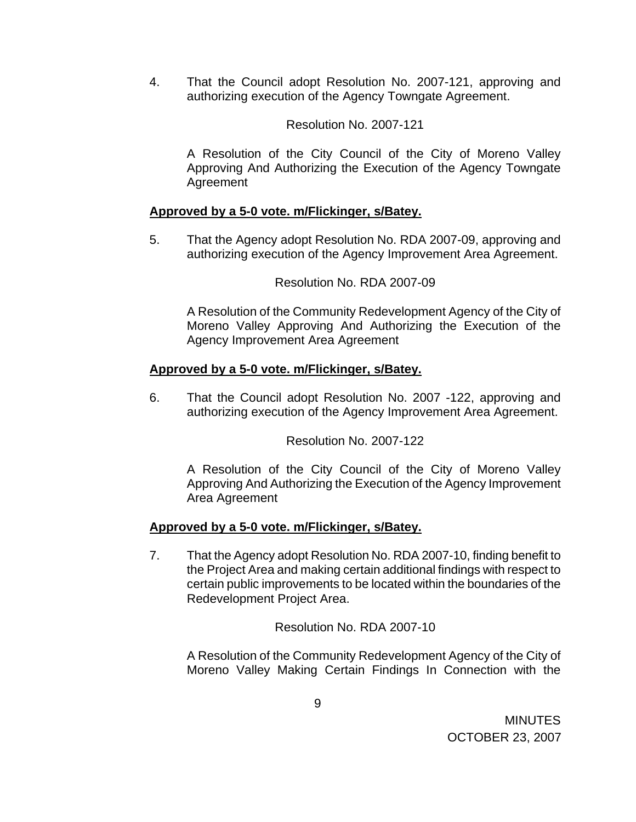4. That the Council adopt Resolution No. 2007-121, approving and authorizing execution of the Agency Towngate Agreement.

### Resolution No. 2007-121

A Resolution of the City Council of the City of Moreno Valley Approving And Authorizing the Execution of the Agency Towngate Agreement

#### **Approved by a 5-0 vote. m/Flickinger, s/Batey.**

5. That the Agency adopt Resolution No. RDA 2007-09, approving and authorizing execution of the Agency Improvement Area Agreement.

### Resolution No. RDA 2007-09

A Resolution of the Community Redevelopment Agency of the City of Moreno Valley Approving And Authorizing the Execution of the Agency Improvement Area Agreement

#### **Approved by a 5-0 vote. m/Flickinger, s/Batey.**

6. That the Council adopt Resolution No. 2007 -122, approving and authorizing execution of the Agency Improvement Area Agreement.

Resolution No. 2007-122

A Resolution of the City Council of the City of Moreno Valley Approving And Authorizing the Execution of the Agency Improvement Area Agreement

### **Approved by a 5-0 vote. m/Flickinger, s/Batey.**

7. That the Agency adopt Resolution No. RDA 2007-10, finding benefit to the Project Area and making certain additional findings with respect to certain public improvements to be located within the boundaries of the Redevelopment Project Area.

Resolution No. RDA 2007-10

A Resolution of the Community Redevelopment Agency of the City of Moreno Valley Making Certain Findings In Connection with the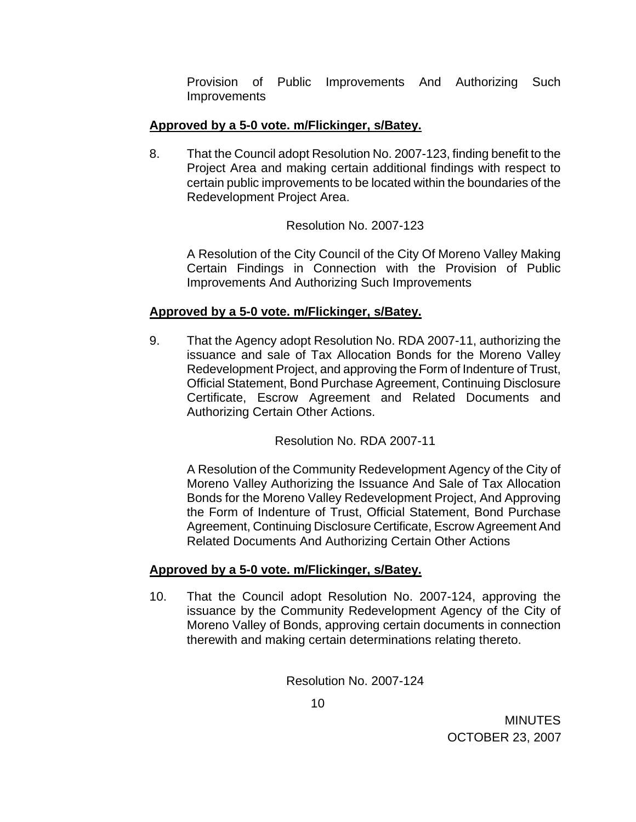Provision of Public Improvements And Authorizing Such **Improvements** 

## **Approved by a 5-0 vote. m/Flickinger, s/Batey.**

8. That the Council adopt Resolution No. 2007-123, finding benefit to the Project Area and making certain additional findings with respect to certain public improvements to be located within the boundaries of the Redevelopment Project Area.

## Resolution No. 2007-123

A Resolution of the City Council of the City Of Moreno Valley Making Certain Findings in Connection with the Provision of Public Improvements And Authorizing Such Improvements

## **Approved by a 5-0 vote. m/Flickinger, s/Batey.**

9. That the Agency adopt Resolution No. RDA 2007-11, authorizing the issuance and sale of Tax Allocation Bonds for the Moreno Valley Redevelopment Project, and approving the Form of Indenture of Trust, Official Statement, Bond Purchase Agreement, Continuing Disclosure Certificate, Escrow Agreement and Related Documents and Authorizing Certain Other Actions.

Resolution No. RDA 2007-11

A Resolution of the Community Redevelopment Agency of the City of Moreno Valley Authorizing the Issuance And Sale of Tax Allocation Bonds for the Moreno Valley Redevelopment Project, And Approving the Form of Indenture of Trust, Official Statement, Bond Purchase Agreement, Continuing Disclosure Certificate, Escrow Agreement And Related Documents And Authorizing Certain Other Actions

### **Approved by a 5-0 vote. m/Flickinger, s/Batey.**

10. That the Council adopt Resolution No. 2007-124, approving the issuance by the Community Redevelopment Agency of the City of Moreno Valley of Bonds, approving certain documents in connection therewith and making certain determinations relating thereto.

Resolution No. 2007-124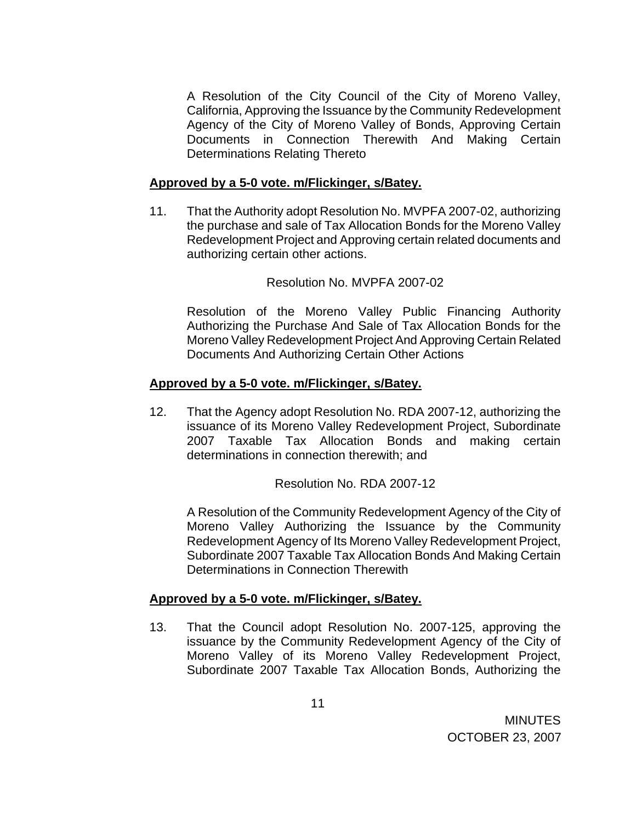A Resolution of the City Council of the City of Moreno Valley, California, Approving the Issuance by the Community Redevelopment Agency of the City of Moreno Valley of Bonds, Approving Certain Documents in Connection Therewith And Making Certain Determinations Relating Thereto

## **Approved by a 5-0 vote. m/Flickinger, s/Batey.**

11. That the Authority adopt Resolution No. MVPFA 2007-02, authorizing the purchase and sale of Tax Allocation Bonds for the Moreno Valley Redevelopment Project and Approving certain related documents and authorizing certain other actions.

Resolution No. MVPFA 2007-02

Resolution of the Moreno Valley Public Financing Authority Authorizing the Purchase And Sale of Tax Allocation Bonds for the Moreno Valley Redevelopment Project And Approving Certain Related Documents And Authorizing Certain Other Actions

## **Approved by a 5-0 vote. m/Flickinger, s/Batey.**

12. That the Agency adopt Resolution No. RDA 2007-12, authorizing the issuance of its Moreno Valley Redevelopment Project, Subordinate 2007 Taxable Tax Allocation Bonds and making certain determinations in connection therewith; and

Resolution No. RDA 2007-12

A Resolution of the Community Redevelopment Agency of the City of Moreno Valley Authorizing the Issuance by the Community Redevelopment Agency of Its Moreno Valley Redevelopment Project, Subordinate 2007 Taxable Tax Allocation Bonds And Making Certain Determinations in Connection Therewith

## **Approved by a 5-0 vote. m/Flickinger, s/Batey.**

13. That the Council adopt Resolution No. 2007-125, approving the issuance by the Community Redevelopment Agency of the City of Moreno Valley of its Moreno Valley Redevelopment Project, Subordinate 2007 Taxable Tax Allocation Bonds, Authorizing the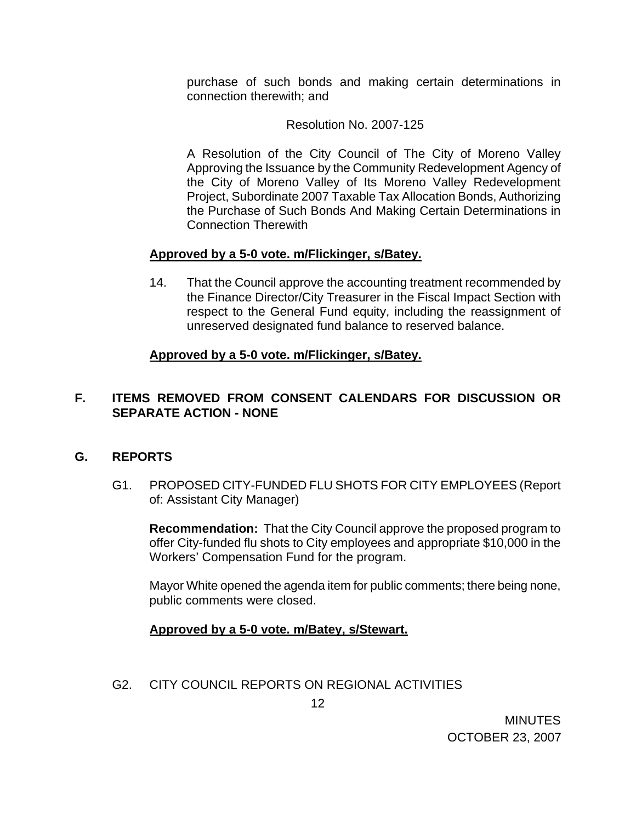purchase of such bonds and making certain determinations in connection therewith; and

## Resolution No. 2007-125

A Resolution of the City Council of The City of Moreno Valley Approving the Issuance by the Community Redevelopment Agency of the City of Moreno Valley of Its Moreno Valley Redevelopment Project, Subordinate 2007 Taxable Tax Allocation Bonds, Authorizing the Purchase of Such Bonds And Making Certain Determinations in Connection Therewith

## **Approved by a 5-0 vote. m/Flickinger, s/Batey.**

14. That the Council approve the accounting treatment recommended by the Finance Director/City Treasurer in the Fiscal Impact Section with respect to the General Fund equity, including the reassignment of unreserved designated fund balance to reserved balance.

## **Approved by a 5-0 vote. m/Flickinger, s/Batey.**

## **F. ITEMS REMOVED FROM CONSENT CALENDARS FOR DISCUSSION OR SEPARATE ACTION - NONE**

### **G. REPORTS**

G1. PROPOSED CITY-FUNDED FLU SHOTS FOR CITY EMPLOYEES (Report of: Assistant City Manager)

**Recommendation:** That the City Council approve the proposed program to offer City-funded flu shots to City employees and appropriate \$10,000 in the Workers' Compensation Fund for the program.

Mayor White opened the agenda item for public comments; there being none, public comments were closed.

### **Approved by a 5-0 vote. m/Batey, s/Stewart.**

G2. CITY COUNCIL REPORTS ON REGIONAL ACTIVITIES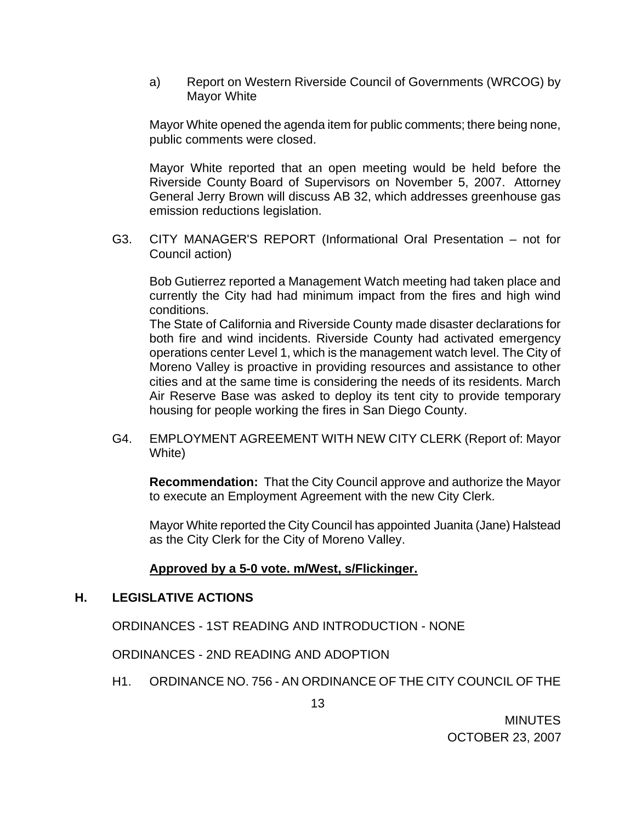a) Report on Western Riverside Council of Governments (WRCOG) by Mayor White

Mayor White opened the agenda item for public comments; there being none, public comments were closed.

 Mayor White reported that an open meeting would be held before the Riverside County Board of Supervisors on November 5, 2007. Attorney General Jerry Brown will discuss AB 32, which addresses greenhouse gas emission reductions legislation.

 G3. CITY MANAGER'S REPORT (Informational Oral Presentation – not for Council action)

Bob Gutierrez reported a Management Watch meeting had taken place and currently the City had had minimum impact from the fires and high wind conditions.

The State of California and Riverside County made disaster declarations for both fire and wind incidents. Riverside County had activated emergency operations center Level 1, which is the management watch level. The City of Moreno Valley is proactive in providing resources and assistance to other cities and at the same time is considering the needs of its residents. March Air Reserve Base was asked to deploy its tent city to provide temporary housing for people working the fires in San Diego County.

G4. EMPLOYMENT AGREEMENT WITH NEW CITY CLERK (Report of: Mayor White)

 **Recommendation:** That the City Council approve and authorize the Mayor to execute an Employment Agreement with the new City Clerk.

 Mayor White reported the City Council has appointed Juanita (Jane) Halstead as the City Clerk for the City of Moreno Valley.

### **Approved by a 5-0 vote. m/West, s/Flickinger.**

### **H. LEGISLATIVE ACTIONS**

ORDINANCES - 1ST READING AND INTRODUCTION - NONE

ORDINANCES - 2ND READING AND ADOPTION

H1. ORDINANCE NO. 756 - AN ORDINANCE OF THE CITY COUNCIL OF THE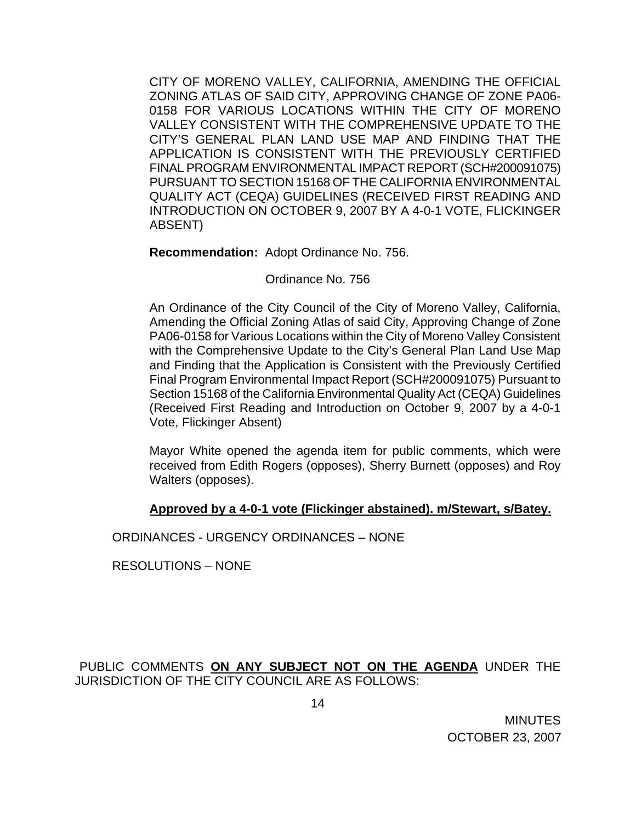CITY OF MORENO VALLEY, CALIFORNIA, AMENDING THE OFFICIAL ZONING ATLAS OF SAID CITY, APPROVING CHANGE OF ZONE PA06- 0158 FOR VARIOUS LOCATIONS WITHIN THE CITY OF MORENO VALLEY CONSISTENT WITH THE COMPREHENSIVE UPDATE TO THE CITY'S GENERAL PLAN LAND USE MAP AND FINDING THAT THE APPLICATION IS CONSISTENT WITH THE PREVIOUSLY CERTIFIED FINAL PROGRAM ENVIRONMENTAL IMPACT REPORT (SCH#200091075) PURSUANT TO SECTION 15168 OF THE CALIFORNIA ENVIRONMENTAL QUALITY ACT (CEQA) GUIDELINES (RECEIVED FIRST READING AND INTRODUCTION ON OCTOBER 9, 2007 BY A 4-0-1 VOTE, FLICKINGER ABSENT)

**Recommendation:** Adopt Ordinance No. 756.

Ordinance No. 756

An Ordinance of the City Council of the City of Moreno Valley, California, Amending the Official Zoning Atlas of said City, Approving Change of Zone PA06-0158 for Various Locations within the City of Moreno Valley Consistent with the Comprehensive Update to the City's General Plan Land Use Map and Finding that the Application is Consistent with the Previously Certified Final Program Environmental Impact Report (SCH#200091075) Pursuant to Section 15168 of the California Environmental Quality Act (CEQA) Guidelines (Received First Reading and Introduction on October 9, 2007 by a 4-0-1 Vote, Flickinger Absent)

Mayor White opened the agenda item for public comments, which were received from Edith Rogers (opposes), Sherry Burnett (opposes) and Roy Walters (opposes).

## **Approved by a 4-0-1 vote (Flickinger abstained). m/Stewart, s/Batey.**

ORDINANCES - URGENCY ORDINANCES – NONE

RESOLUTIONS – NONE

PUBLIC COMMENTS **ON ANY SUBJECT NOT ON THE AGENDA** UNDER THE JURISDICTION OF THE CITY COUNCIL ARE AS FOLLOWS: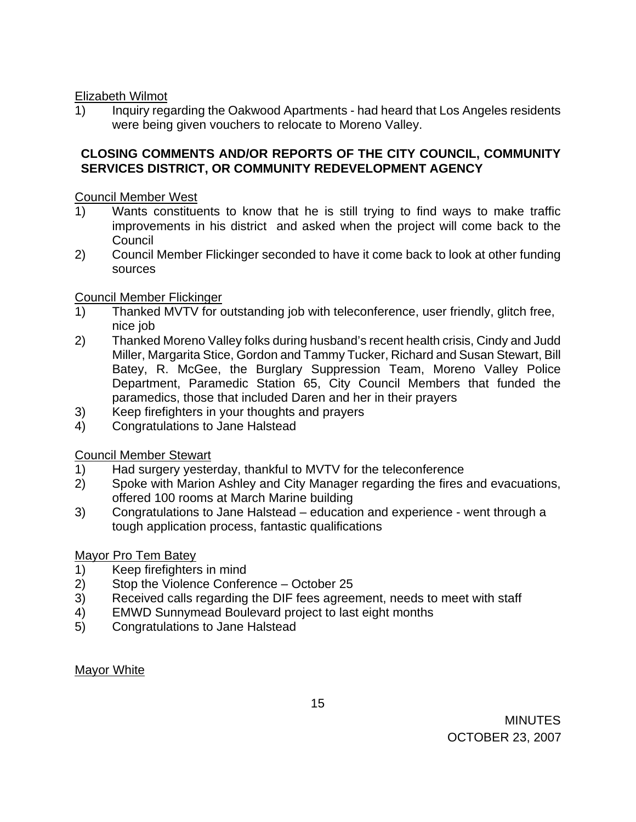## Elizabeth Wilmot

1) Inquiry regarding the Oakwood Apartments - had heard that Los Angeles residents were being given vouchers to relocate to Moreno Valley.

## **CLOSING COMMENTS AND/OR REPORTS OF THE CITY COUNCIL, COMMUNITY SERVICES DISTRICT, OR COMMUNITY REDEVELOPMENT AGENCY**

Council Member West

- 1) Wants constituents to know that he is still trying to find ways to make traffic improvements in his district and asked when the project will come back to the Council
- 2) Council Member Flickinger seconded to have it come back to look at other funding sources

## Council Member Flickinger

- 1) Thanked MVTV for outstanding job with teleconference, user friendly, glitch free, nice job
- 2) Thanked Moreno Valley folks during husband's recent health crisis, Cindy and Judd Miller, Margarita Stice, Gordon and Tammy Tucker, Richard and Susan Stewart, Bill Batey, R. McGee, the Burglary Suppression Team, Moreno Valley Police Department, Paramedic Station 65, City Council Members that funded the paramedics, those that included Daren and her in their prayers
- 3) Keep firefighters in your thoughts and prayers
- 4) Congratulations to Jane Halstead

## Council Member Stewart

- 1) Had surgery yesterday, thankful to MVTV for the teleconference
- 2) Spoke with Marion Ashley and City Manager regarding the fires and evacuations, offered 100 rooms at March Marine building
- 3) Congratulations to Jane Halstead education and experience went through a tough application process, fantastic qualifications

## Mayor Pro Tem Batey

- 1) Keep firefighters in mind
- 2) Stop the Violence Conference October 25
- 3) Received calls regarding the DIF fees agreement, needs to meet with staff
- 4) EMWD Sunnymead Boulevard project to last eight months
- 5) Congratulations to Jane Halstead

Mayor White